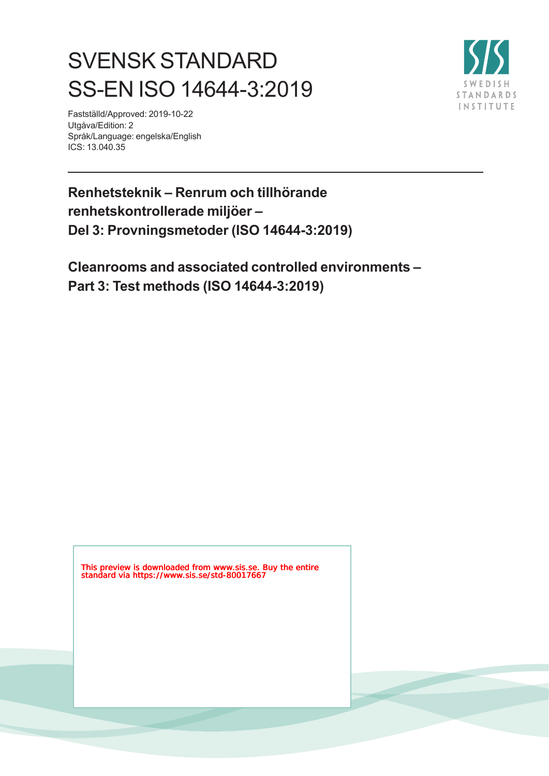# SVENSK STANDARD SS-EN ISO 14644-3:2019



Fastställd/Approved: 2019-10-22 Utgåva/Edition: 2 Språk/Language: engelska/English ICS: 13.040.35

# **Renhetsteknik – Renrum och tillhörande renhetskontrollerade miljöer – Del 3: Provningsmetoder (ISO 14644‑3:2019)**

**Cleanrooms and associated controlled environments – Part 3: Test methods (ISO 14644‑3:2019)**

This preview is downloaded from www.sis.se. Buy the entire standard via https://www.sis.se/std-80017667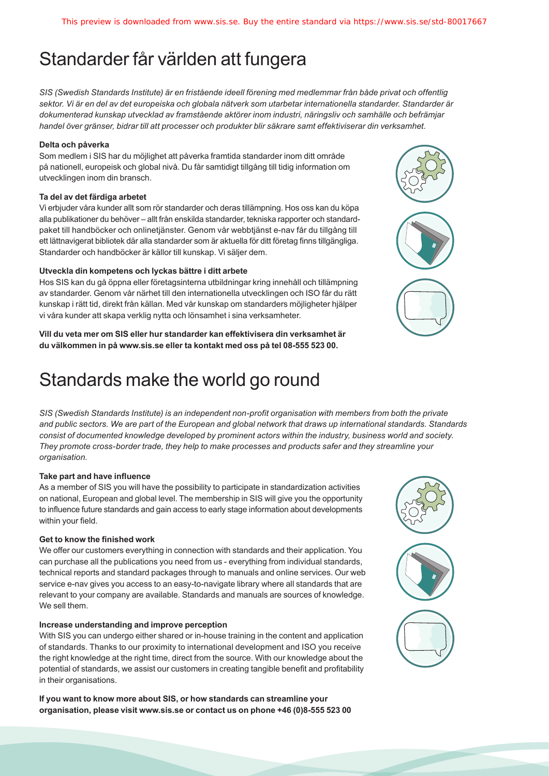# Standarder får världen att fungera

*SIS (Swedish Standards Institute) är en fristående ideell förening med medlemmar från både privat och offentlig sektor. Vi är en del av det europeiska och globala nätverk som utarbetar internationella standarder. Standarder är dokumenterad kunskap utvecklad av framstående aktörer inom industri, näringsliv och samhälle och befrämjar handel över gränser, bidrar till att processer och produkter blir säkrare samt effektiviserar din verksamhet.* 

#### **Delta och påverka**

Som medlem i SIS har du möjlighet att påverka framtida standarder inom ditt område på nationell, europeisk och global nivå. Du får samtidigt tillgång till tidig information om utvecklingen inom din bransch.

#### **Ta del av det färdiga arbetet**

Vi erbjuder våra kunder allt som rör standarder och deras tillämpning. Hos oss kan du köpa alla publikationer du behöver – allt från enskilda standarder, tekniska rapporter och standardpaket till handböcker och onlinetjänster. Genom vår webbtjänst e-nav får du tillgång till ett lättnavigerat bibliotek där alla standarder som är aktuella för ditt företag finns tillgängliga. Standarder och handböcker är källor till kunskap. Vi säljer dem.

#### **Utveckla din kompetens och lyckas bättre i ditt arbete**

Hos SIS kan du gå öppna eller företagsinterna utbildningar kring innehåll och tillämpning av standarder. Genom vår närhet till den internationella utvecklingen och ISO får du rätt kunskap i rätt tid, direkt från källan. Med vår kunskap om standarders möjligheter hjälper vi våra kunder att skapa verklig nytta och lönsamhet i sina verksamheter.

**Vill du veta mer om SIS eller hur standarder kan effektivisera din verksamhet är du välkommen in på www.sis.se eller ta kontakt med oss på tel 08-555 523 00.**

# Standards make the world go round

*SIS (Swedish Standards Institute) is an independent non-profit organisation with members from both the private and public sectors. We are part of the European and global network that draws up international standards. Standards consist of documented knowledge developed by prominent actors within the industry, business world and society. They promote cross-border trade, they help to make processes and products safer and they streamline your organisation.*

#### **Take part and have influence**

As a member of SIS you will have the possibility to participate in standardization activities on national, European and global level. The membership in SIS will give you the opportunity to influence future standards and gain access to early stage information about developments within your field.

#### **Get to know the finished work**

We offer our customers everything in connection with standards and their application. You can purchase all the publications you need from us - everything from individual standards, technical reports and standard packages through to manuals and online services. Our web service e-nav gives you access to an easy-to-navigate library where all standards that are relevant to your company are available. Standards and manuals are sources of knowledge. We sell them.

#### **Increase understanding and improve perception**

With SIS you can undergo either shared or in-house training in the content and application of standards. Thanks to our proximity to international development and ISO you receive the right knowledge at the right time, direct from the source. With our knowledge about the potential of standards, we assist our customers in creating tangible benefit and profitability in their organisations.

**If you want to know more about SIS, or how standards can streamline your organisation, please visit www.sis.se or contact us on phone +46 (0)8-555 523 00**



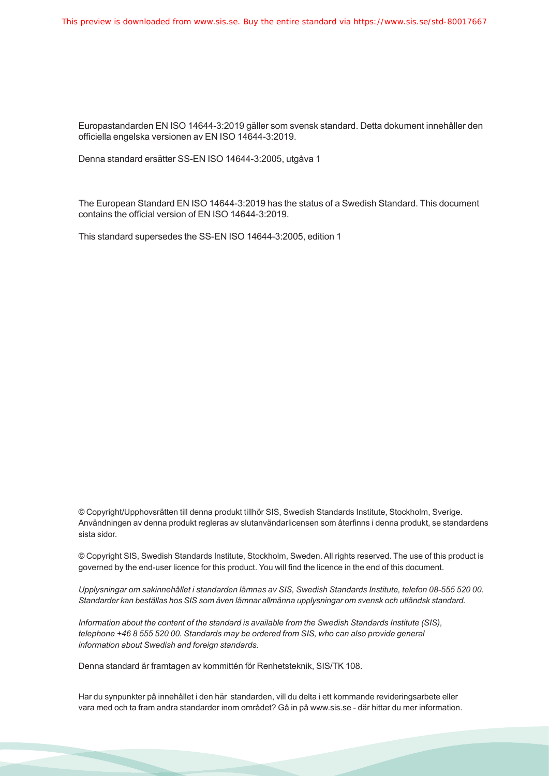Europastandarden EN ISO 14644-3:2019 gäller som svensk standard. Detta dokument innehåller den officiella engelska versionen av EN ISO 14644-3:2019.

Denna standard ersätter SS-EN ISO 14644-3:2005, utgåva 1

The European Standard EN ISO 14644-3:2019 has the status of a Swedish Standard. This document contains the official version of EN ISO 14644-3:2019.

This standard supersedes the SS-EN ISO 14644-3:2005, edition 1

© Copyright/Upphovsrätten till denna produkt tillhör SIS, Swedish Standards Institute, Stockholm, Sverige. Användningen av denna produkt regleras av slutanvändarlicensen som återfinns i denna produkt, se standardens sista sidor.

© Copyright SIS, Swedish Standards Institute, Stockholm, Sweden. All rights reserved. The use of this product is governed by the end-user licence for this product. You will find the licence in the end of this document.

*Upplysningar om sakinnehållet i standarden lämnas av SIS, Swedish Standards Institute, telefon 08-555 520 00. Standarder kan beställas hos SIS som även lämnar allmänna upplysningar om svensk och utländsk standard.*

*Information about the content of the standard is available from the Swedish Standards Institute (SIS), telephone +46 8 555 520 00. Standards may be ordered from SIS, who can also provide general information about Swedish and foreign standards.*

Denna standard är framtagen av kommittén för Renhetsteknik, SIS/TK 108.

Har du synpunkter på innehållet i den här standarden, vill du delta i ett kommande revideringsarbete eller vara med och ta fram andra standarder inom området? Gå in på www.sis.se - där hittar du mer information.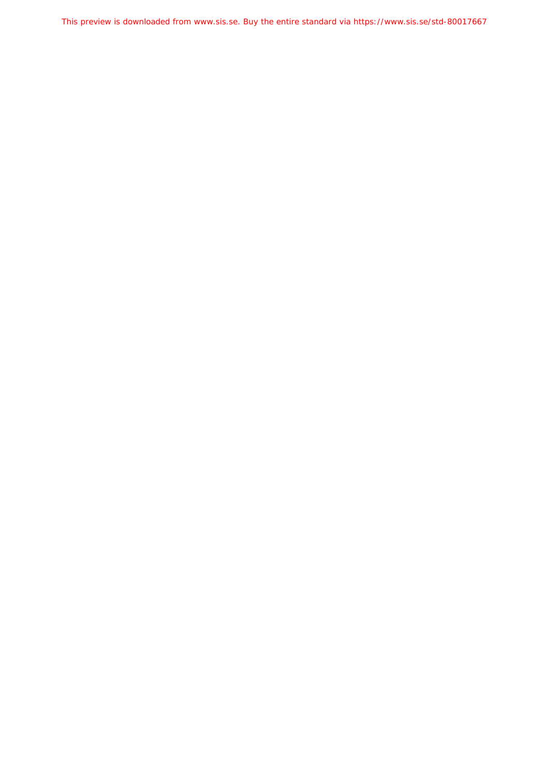This preview is downloaded from www.sis.se. Buy the entire standard via https://www.sis.se/std-80017667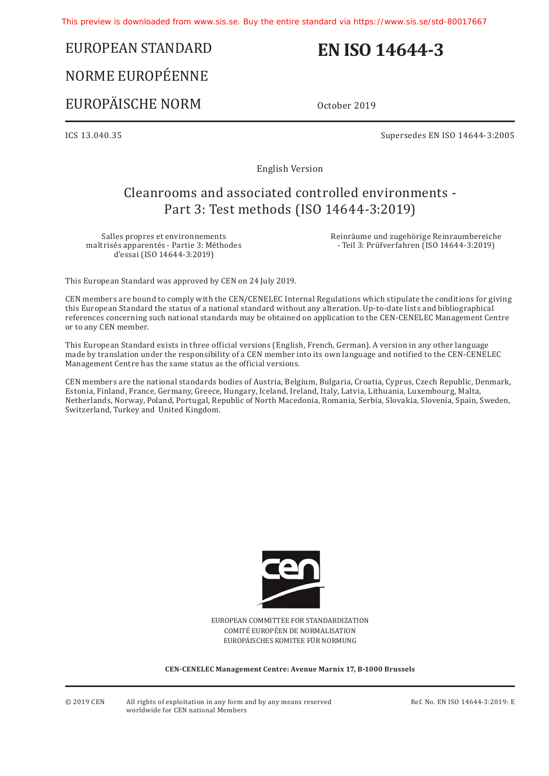### EUROPEAN STANDARD

# **EN ISO 14644-3**

# NORME EUROPÉENNE

### EUROPÄISCHE NORM

October 2019

ICS 13.040.35 Supersedes EN ISO 14644-3:2005

English Version

### Cleanrooms and associated controlled environments - Part 3: Test methods (ISO 14644-3:2019)

Salles propres et environnements maîtrisés apparentés - Partie 3: Méthodes d'essai (ISO 14644-3:2019)

Reinräume und zugehörige Reinraumbereiche - Teil 3: Prüfverfahren (ISO 14644-3:2019)

This European Standard was approved by CEN on 24 July 2019.

CEN members are bound to comply with the CEN/CENELEC Internal Regulations which stipulate the conditions for giving this European Standard the status of a national standard without any alteration. Up-to-date lists and bibliographical references concerning such national standards may be obtained on application to the CEN-CENELEC Management Centre or to any CEN member.

This European Standard exists in three official versions (English, French, German). A version in any other language made by translation under the responsibility of a CEN member into its own language and notified to the CEN-CENELEC Management Centre has the same status as the official versions.

CEN members are the national standards bodies of Austria, Belgium, Bulgaria, Croatia, Cyprus, Czech Republic, Denmark, Estonia, Finland, France, Germany, Greece, Hungary, Iceland, Ireland, Italy, Latvia, Lithuania, Luxembourg, Malta, Netherlands, Norway, Poland, Portugal, Republic of North Macedonia, Romania, Serbia, Slovakia, Slovenia, Spain, Sweden, Switzerland, Turkey and United Kingdom.



EUROPEAN COMMITTEE FOR STANDARDIZATION COMITÉ EUROPÉEN DE NORMALISATION EUROPÄISCHES KOMITEE FÜR NORMUNG

**CEN-CENELEC Management Centre: Avenue Marnix 17, B-1000 Brussels**

© 2019 CEN All rights of exploitation in any form and by any means reserved Ref. No. EN ISO 14644-3:2019: E worldwide for CEN national Members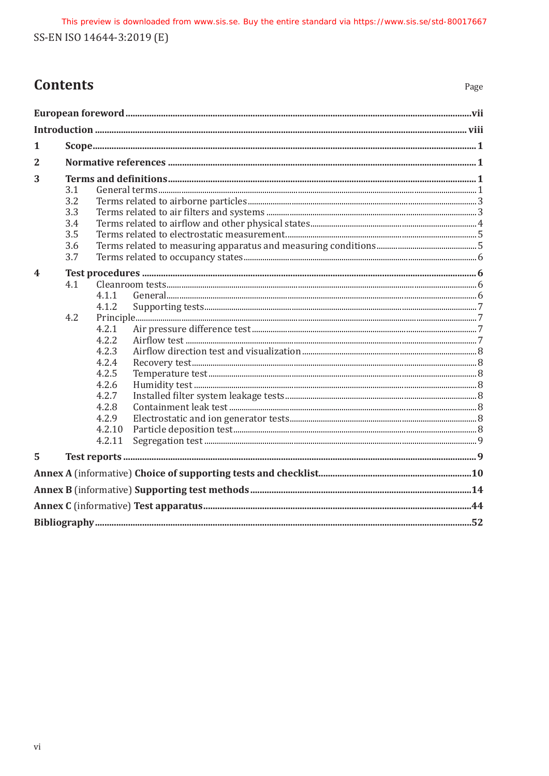# **Contents**

| . .<br>۹<br>×<br>v<br>× |
|-------------------------|
|-------------------------|

| 1                |     |        |  |  |  |
|------------------|-----|--------|--|--|--|
| 2                |     |        |  |  |  |
| 3                |     |        |  |  |  |
|                  | 3.1 |        |  |  |  |
|                  | 3.2 |        |  |  |  |
|                  | 3.3 |        |  |  |  |
|                  | 3.4 |        |  |  |  |
|                  | 3.5 |        |  |  |  |
|                  | 3.6 |        |  |  |  |
|                  | 3.7 |        |  |  |  |
| $\boldsymbol{4}$ |     |        |  |  |  |
|                  | 4.1 |        |  |  |  |
|                  |     | 4.1.1  |  |  |  |
|                  |     | 4.1.2  |  |  |  |
|                  | 4.2 |        |  |  |  |
|                  |     | 4.2.1  |  |  |  |
|                  |     | 4.2.2  |  |  |  |
|                  |     | 4.2.3  |  |  |  |
|                  |     | 4.2.4  |  |  |  |
|                  |     | 4.2.5  |  |  |  |
|                  |     | 4.2.6  |  |  |  |
|                  |     | 4.2.7  |  |  |  |
|                  |     | 4.2.8  |  |  |  |
|                  |     | 4.2.9  |  |  |  |
|                  |     | 4.2.10 |  |  |  |
|                  |     | 4.2.11 |  |  |  |
| 5                |     |        |  |  |  |
|                  |     |        |  |  |  |
|                  |     |        |  |  |  |
|                  |     |        |  |  |  |
|                  |     |        |  |  |  |
|                  |     |        |  |  |  |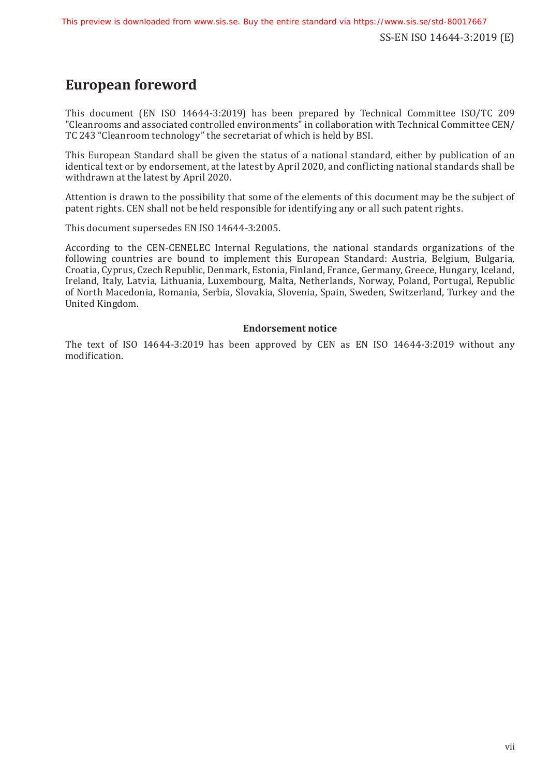# **European foreword**

This document (EN ISO 14644-3:2019) has been prepared by Technical Committee ISO/TC 209 "Cleanrooms and associated controlled environments" in collaboration with Technical Committee CEN/ TC 243 "Cleanroom technology" the secretariat of which is held by BSI.

This European Standard shall be given the status of a national standard, either by publication of an identical text or by endorsement, at the latest by April 2020, and conflicting national standards shall be withdrawn at the latest by April 2020.

Attention is drawn to the possibility that some of the elements of this document may be the subject of patent rights. CEN shall not be held responsible for identifying any or all such patent rights.

This document supersedes EN ISO 14644-3:2005.

According to the CEN-CENELEC Internal Regulations, the national standards organizations of the following countries are bound to implement this European Standard: Austria, Belgium, Bulgaria, Croatia, Cyprus, Czech Republic, Denmark, Estonia, Finland, France, Germany, Greece, Hungary, Iceland, Ireland, Italy, Latvia, Lithuania, Luxembourg, Malta, Netherlands, Norway, Poland, Portugal, Republic of North Macedonia, Romania, Serbia, Slovakia, Slovenia, Spain, Sweden, Switzerland, Turkey and the United Kingdom.

#### **Endorsement notice**

The text of ISO 14644-3:2019 has been approved by CEN as EN ISO 14644-3:2019 without any modification.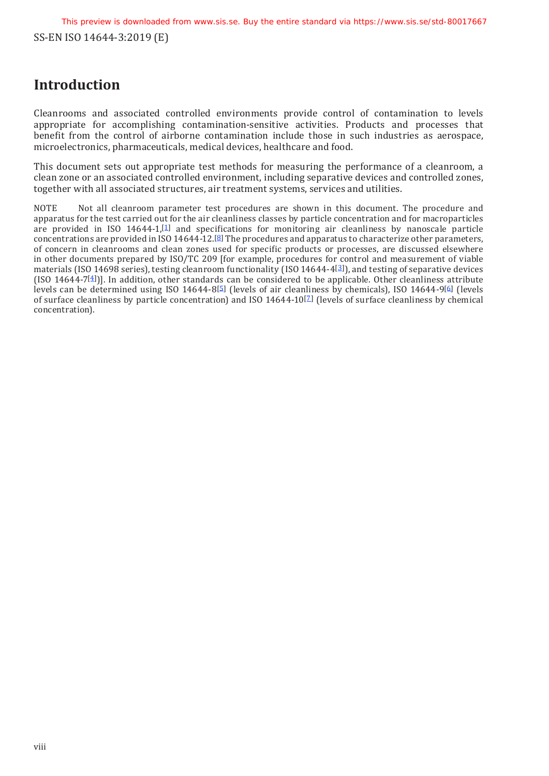### **Introduction**

Cleanrooms and associated controlled environments provide control of contamination to levels appropriate for accomplishing contamination-sensitive activities. Products and processes that benefit from the control of airborne contamination include those in such industries as aerospace, microelectronics, pharmaceuticals, medical devices, healthcare and food.

This document sets out appropriate test methods for measuring the performance of a cleanroom, a clean zone or an associated controlled environment, including separative devices and controlled zones, together with all associated structures, air treatment systems, services and utilities.

NOTE Not all cleanroom parameter test procedures are shown in this document. The procedure and apparatus for the test carried out for the air cleanliness classes by particle concentration and for macroparticles are provided in ISO 14644-1,[1] and specifications for monitoring air cleanliness by nanoscale particle concentrations are provided in ISO 14644-12.[8] The procedures and apparatus to characterize other parameters, of concern in cleanrooms and clean zones used for specific products or processes, are discussed elsewhere in other documents prepared by ISO/TC 209 [for example, procedures for control and measurement of viable materials (ISO 14698 series), testing cleanroom functionality (ISO 14644-4[3]), and testing of separative devices (ISO 14644-7[4])]. In addition, other standards can be considered to be applicable. Other cleanliness attribute levels can be determined using ISO 14644-8[5] (levels of air cleanliness by chemicals), ISO 14644-9[6] (levels of surface cleanliness by particle concentration) and ISO 14644-10[7] (levels of surface cleanliness by chemical concentration).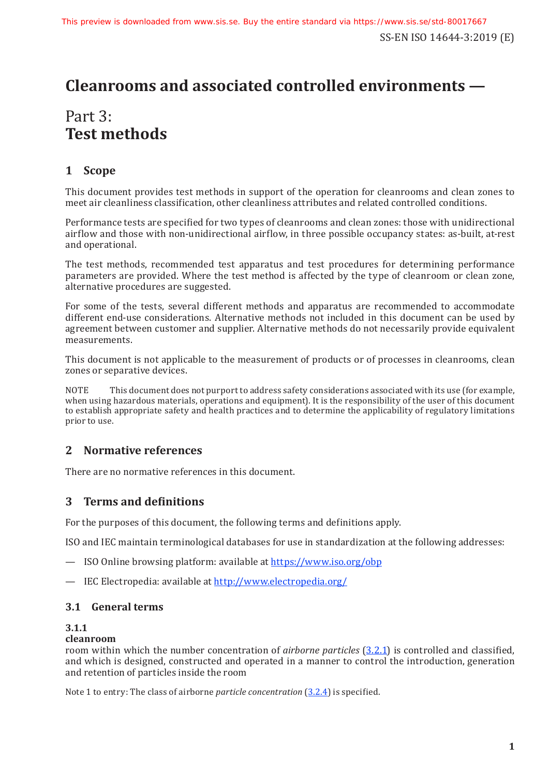# **Cleanrooms and associated controlled environments —**

# Part 3: **Test methods**

### **1 Scope**

This document provides test methods in support of the operation for cleanrooms and clean zones to meet air cleanliness classification, other cleanliness attributes and related controlled conditions.

Performance tests are specified for two types of cleanrooms and clean zones: those with unidirectional airflow and those with non-unidirectional airflow, in three possible occupancy states: as-built, at-rest and operational.

The test methods, recommended test apparatus and test procedures for determining performance parameters are provided. Where the test method is affected by the type of cleanroom or clean zone, alternative procedures are suggested.

For some of the tests, several different methods and apparatus are recommended to accommodate different end-use considerations. Alternative methods not included in this document can be used by agreement between customer and supplier. Alternative methods do not necessarily provide equivalent measurements.

This document is not applicable to the measurement of products or of processes in cleanrooms, clean zones or separative devices.

NOTE This document does not purport to address safety considerations associated with its use (for example, when using hazardous materials, operations and equipment). It is the responsibility of the user of this document to establish appropriate safety and health practices and to determine the applicability of regulatory limitations prior to use.

### **2 Normative references**

There are no normative references in this document.

### **3 Terms and definitions**

For the purposes of this document, the following terms and definitions apply.

ISO and IEC maintain terminological databases for use in standardization at the following addresses:

- ISO Online browsing platform: available at [https://www.iso.org/obp](https://www.iso.org/obp/ui)
- IEC Electropedia: available at<http://www.electropedia.org/>

### **3.1 General terms**

**3.1.1**

#### **cleanroom**

room within which the number concentration of *airborne particles* (3.2.1) is controlled and classified, and which is designed, constructed and operated in a manner to control the introduction, generation and retention of particles inside the room

Note 1 to entry: The class of airborne *particle concentration* (3.2.4) is specified.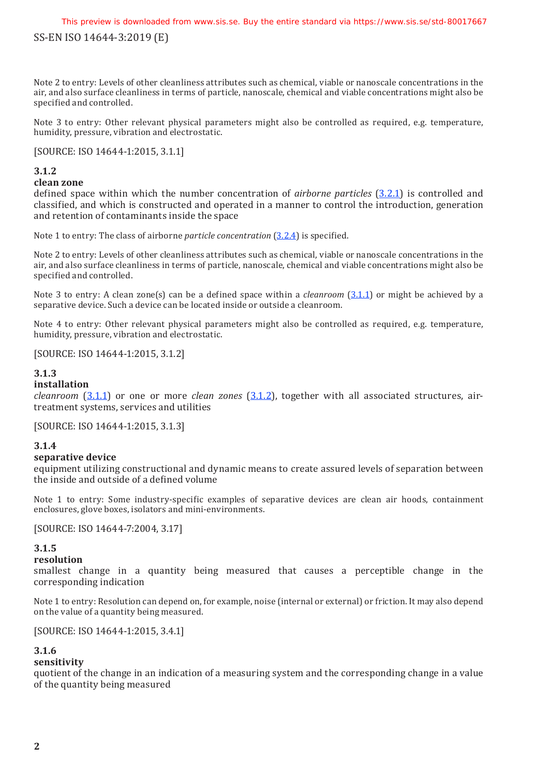This preview is downloaded from www.sis.se. Buy the entire standard via https://www.sis.se/std-80017667

### SS-EN ISO 14644-3:2019 (E)

Note 2 to entry: Levels of other cleanliness attributes such as chemical, viable or nanoscale concentrations in the air, and also surface cleanliness in terms of particle, nanoscale, chemical and viable concentrations might also be specified and controlled.

Note 3 to entry: Other relevant physical parameters might also be controlled as required, e.g. temperature, humidity, pressure, vibration and electrostatic.

[SOURCE: ISO 14644-1:2015, 3.1.1]

#### **3.1.2**

#### **clean zone**

defined space within which the number concentration of *airborne particles* (3.2.1) is controlled and classified, and which is constructed and operated in a manner to control the introduction, generation and retention of contaminants inside the space

Note 1 to entry: The class of airborne *particle concentration* (3.2.4) is specified.

Note 2 to entry: Levels of other cleanliness attributes such as chemical, viable or nanoscale concentrations in the air, and also surface cleanliness in terms of particle, nanoscale, chemical and viable concentrations might also be specified and controlled.

Note 3 to entry: A clean zone(s) can be a defined space within a *cleanroom* (3.1.1) or might be achieved by a separative device. Such a device can be located inside or outside a cleanroom.

Note 4 to entry: Other relevant physical parameters might also be controlled as required, e.g. temperature, humidity, pressure, vibration and electrostatic.

[SOURCE: ISO 14644-1:2015, 3.1.2]

#### **3.1.3**

#### **installation**

*cleanroom* (3.1.1) or one or more *clean zones* (3.1.2), together with all associated structures, airtreatment systems, services and utilities

[SOURCE: ISO 14644-1:2015, 3.1.3]

#### **3.1.4**

#### **separative device**

equipment utilizing constructional and dynamic means to create assured levels of separation between the inside and outside of a defined volume

Note 1 to entry: Some industry-specific examples of separative devices are clean air hoods, containment enclosures, glove boxes, isolators and mini-environments.

[SOURCE: ISO 14644-7:2004, 3.17]

#### **3.1.5**

#### **resolution**

smallest change in a quantity being measured that causes a perceptible change in the corresponding indication

Note 1 to entry: Resolution can depend on, for example, noise (internal or external) or friction. It may also depend on the value of a quantity being measured.

[SOURCE: ISO 14644-1:2015, 3.4.1]

#### **3.1.6**

#### **sensitivity**

quotient of the change in an indication of a measuring system and the corresponding change in a value of the quantity being measured